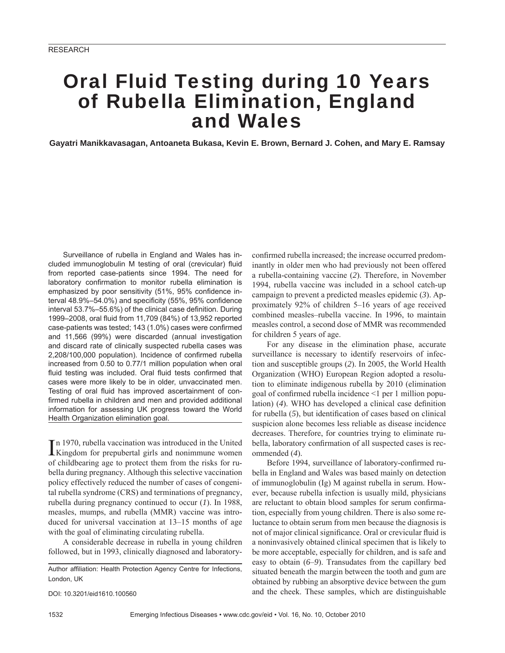# Oral Fluid Testing during 10 Years of Rubella Elimination, England and Wales

**Gayatri Manikkavasagan, Antoaneta Bukasa, Kevin E. Brown, Bernard J. Cohen, and Mary E. Ramsay**

Surveillance of rubella in England and Wales has included immunoglobulin M testing of oral (crevicular) fluid from reported case-patients since 1994. The need for laboratory confirmation to monitor rubella elimination is emphasized by poor sensitivity (51%, 95% confidence interval 48.9%-54.0%) and specificity (55%, 95% confidence interval 53.7%–55.6%) of the clinical case definition. During 1999–2008, oral fluid from 11,709 (84%) of 13,952 reported case-patients was tested; 143 (1.0%) cases were confirmed and 11,566 (99%) were discarded (annual investigation and discard rate of clinically suspected rubella cases was 2,208/100,000 population). Incidence of confirmed rubella increased from 0.50 to 0.77/1 million population when oral fluid testing was included. Oral fluid tests confirmed that cases were more likely to be in older, unvaccinated men. Testing of oral fluid has improved ascertainment of confirmed rubella in children and men and provided additional information for assessing UK progress toward the World Health Organization elimination goal.

In 1970, rubella vaccination was introduced in the United<br>Kingdom for prepubertal girls and nonimmune women n 1970, rubella vaccination was introduced in the United of childbearing age to protect them from the risks for rubella during pregnancy. Although this selective vaccination policy effectively reduced the number of cases of congenital rubella syndrome (CRS) and terminations of pregnancy, rubella during pregnancy continued to occur (*1*). In 1988, measles, mumps, and rubella (MMR) vaccine was introduced for universal vaccination at 13–15 months of age with the goal of eliminating circulating rubella.

A considerable decrease in rubella in young children followed, but in 1993, clinically diagnosed and laboratory-

Author affiliation: Health Protection Agency Centre for Infections, London, UK

DOI: 10.3201/eid1610.100560

confirmed rubella increased; the increase occurred predominantly in older men who had previously not been offered a rubella-containing vaccine (*2*). Therefore, in November 1994, rubella vaccine was included in a school catch-up campaign to prevent a predicted measles epidemic (*3*). Approximately 92% of children 5–16 years of age received combined measles–rubella vaccine. In 1996, to maintain measles control, a second dose of MMR was recommended for children 5 years of age.

For any disease in the elimination phase, accurate surveillance is necessary to identify reservoirs of infection and susceptible groups (*2*). In 2005, the World Health Organization (WHO) European Region adopted a resolution to eliminate indigenous rubella by 2010 (elimination goal of confirmed rubella incidence  $\leq 1$  per 1 million population) (4). WHO has developed a clinical case definition for rubella (5), but identification of cases based on clinical suspicion alone becomes less reliable as disease incidence decreases. Therefore, for countries trying to eliminate rubella, laboratory confirmation of all suspected cases is recommended (*4*).

Before 1994, surveillance of laboratory-confirmed rubella in England and Wales was based mainly on detection of immunoglobulin (Ig) M against rubella in serum. However, because rubella infection is usually mild, physicians are reluctant to obtain blood samples for serum confirmation, especially from young children. There is also some reluctance to obtain serum from men because the diagnosis is not of major clinical significance. Oral or crevicular fluid is a noninvasively obtained clinical specimen that is likely to be more acceptable, especially for children, and is safe and easy to obtain (*6*–*9*). Transudates from the capillary bed situated beneath the margin between the tooth and gum are obtained by rubbing an absorptive device between the gum and the cheek. These samples, which are distinguishable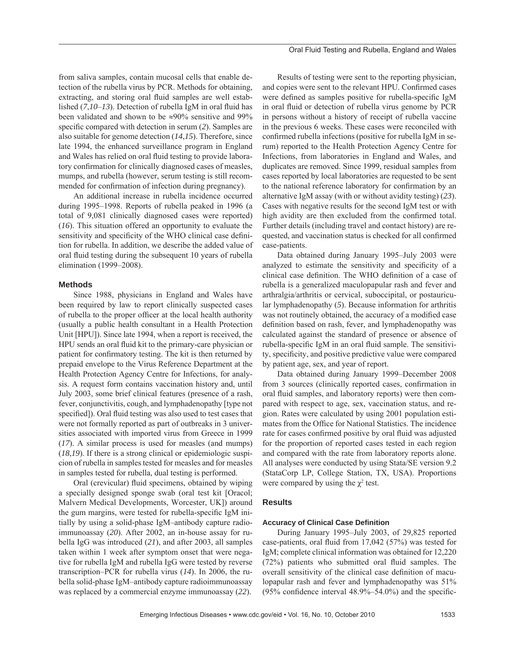from saliva samples, contain mucosal cells that enable detection of the rubella virus by PCR. Methods for obtaining, extracting, and storing oral fluid samples are well established  $(7,10-13)$ . Detection of rubella IgM in oral fluid has been validated and shown to be ≈90% sensitive and 99% specific compared with detection in serum (2). Samples are also suitable for genome detection (*14*,*15*). Therefore, since late 1994, the enhanced surveillance program in England and Wales has relied on oral fluid testing to provide laboratory confirmation for clinically diagnosed cases of measles, mumps, and rubella (however, serum testing is still recommended for confirmation of infection during pregnancy).

An additional increase in rubella incidence occurred during 1995–1998. Reports of rubella peaked in 1996 (a total of 9,081 clinically diagnosed cases were reported) (*16*). This situation offered an opportunity to evaluate the sensitivity and specificity of the WHO clinical case definition for rubella. In addition, we describe the added value of oral fluid testing during the subsequent 10 years of rubella elimination (1999–2008).

### **Methods**

Since 1988, physicians in England and Wales have been required by law to report clinically suspected cases of rubella to the proper officer at the local health authority (usually a public health consultant in a Health Protection Unit [HPU]). Since late 1994, when a report is received, the HPU sends an oral fluid kit to the primary-care physician or patient for confirmatory testing. The kit is then returned by prepaid envelope to the Virus Reference Department at the Health Protection Agency Centre for Infections, for analysis. A request form contains vaccination history and, until July 2003, some brief clinical features (presence of a rash, fever, conjunctivitis, cough, and lymphadenopathy [type not specified]). Oral fluid testing was also used to test cases that were not formally reported as part of outbreaks in 3 universities associated with imported virus from Greece in 1999 (*17*). A similar process is used for measles (and mumps) (*18*,*19*). If there is a strong clinical or epidemiologic suspicion of rubella in samples tested for measles and for measles in samples tested for rubella, dual testing is performed.

Oral (crevicular) fluid specimens, obtained by wiping a specially designed sponge swab (oral test kit [Oracol; Malvern Medical Developments, Worcester, UK]) around the gum margins, were tested for rubella-specific IgM initially by using a solid-phase IgM–antibody capture radioimmunoassay (*20*). After 2002, an in-house assay for rubella IgG was introduced (*21*), and after 2003, all samples taken within 1 week after symptom onset that were negative for rubella IgM and rubella IgG were tested by reverse transcription–PCR for rubella virus (*14*). In 2006, the rubella solid-phase IgM–antibody capture radioimmunoassay was replaced by a commercial enzyme immunoassay (*22*).

Oral Fluid Testing and Rubella, England and Wales

Results of testing were sent to the reporting physician, and copies were sent to the relevant HPU. Confirmed cases were defined as samples positive for rubella-specific IgM in oral fluid or detection of rubella virus genome by PCR in persons without a history of receipt of rubella vaccine in the previous 6 weeks. These cases were reconciled with confirmed rubella infections (positive for rubella IgM in serum) reported to the Health Protection Agency Centre for Infections, from laboratories in England and Wales, and duplicates are removed. Since 1999, residual samples from cases reported by local laboratories are requested to be sent to the national reference laboratory for confirmation by an alternative IgM assay (with or without avidity testing) (*23*). Cases with negative results for the second IgM test or with high avidity are then excluded from the confirmed total. Further details (including travel and contact history) are requested, and vaccination status is checked for all confirmed case-patients.

Data obtained during January 1995–July 2003 were analyzed to estimate the sensitivity and specificity of a clinical case definition. The WHO definition of a case of rubella is a generalized maculopapular rash and fever and arthralgia/arthritis or cervical, suboccipital, or postauricular lymphadenopathy (*5*). Because information for arthritis was not routinely obtained, the accuracy of a modified case definition based on rash, fever, and lymphadenopathy was calculated against the standard of presence or absence of rubella-specific IgM in an oral fluid sample. The sensitivity, specificity, and positive predictive value were compared by patient age, sex, and year of report.

Data obtained during January 1999–December 2008 from 3 sources (clinically reported cases, confirmation in oral fluid samples, and laboratory reports) were then compared with respect to age, sex, vaccination status, and region. Rates were calculated by using 2001 population estimates from the Office for National Statistics. The incidence rate for cases confirmed positive by oral fluid was adjusted for the proportion of reported cases tested in each region and compared with the rate from laboratory reports alone. All analyses were conducted by using Stata/SE version 9.2 (StataCorp LP, College Station, TX, USA). Proportions were compared by using the  $\chi^2$  test.

## **Results**

#### **Accuracy of Clinical Case Definition**

During January 1995–July 2003, of 29,825 reported case-patients, oral fluid from  $17,042$  (57%) was tested for IgM; complete clinical information was obtained for 12,220  $(72%)$  patients who submitted oral fluid samples. The overall sensitivity of the clinical case definition of maculopapular rash and fever and lymphadenopathy was 51%  $(95\%$  confidence interval  $48.9\% - 54.0\%$  and the specific-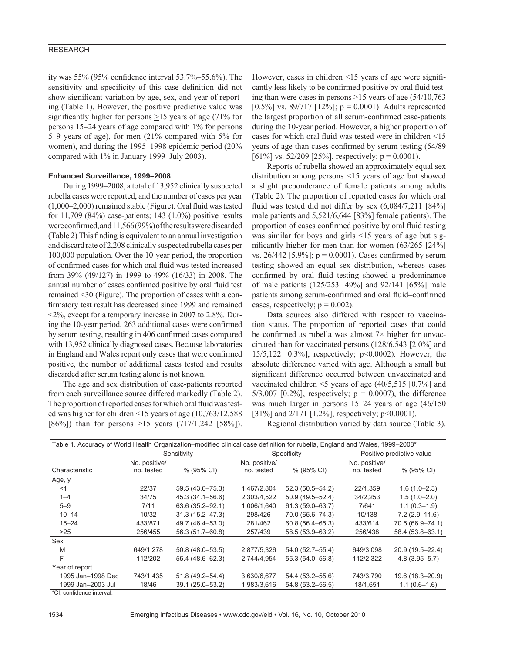## RESEARCH

ity was  $55\%$  (95% confidence interval  $53.7\%$ – $55.6\%$ ). The sensitivity and specificity of this case definition did not show significant variation by age, sex, and year of reporting (Table 1). However, the positive predictive value was significantly higher for persons  $\geq$ 15 years of age (71% for persons 15–24 years of age compared with 1% for persons 5–9 years of age), for men (21% compared with 5% for women), and during the 1995–1998 epidemic period (20% compared with 1% in January 1999–July 2003).

#### **Enhanced Surveillance, 1999–2008**

During 1999–2008, a total of 13,952 clinically suspected rubella cases were reported, and the number of cases per year  $(1,000-2,000)$  remained stable (Figure). Oral fluid was tested for  $11,709$  (84%) case-patients; 143 (1.0%) positive results were confirmed, and 11,566 (99%) of the results were discarded (Table 2) This finding is equivalent to an annual investigation and discard rate of 2,208 clinically suspected rubella cases per 100,000 population. Over the 10-year period, the proportion of confirmed cases for which oral fluid was tested increased from 39% (49/127) in 1999 to 49% (16/33) in 2008. The annual number of cases confirmed positive by oral fluid test remained <30 (Figure). The proportion of cases with a confirmatory test result has decreased since 1999 and remained  $\langle 2\%,$  except for a temporary increase in 2007 to 2.8%. During the 10-year period, 263 additional cases were confirmed by serum testing, resulting in 406 confirmed cases compared with 13,952 clinically diagnosed cases. Because laboratories in England and Wales report only cases that were confirmed positive, the number of additional cases tested and results discarded after serum testing alone is not known.

The age and sex distribution of case-patients reported from each surveillance source differed markedly (Table 2). The proportion of reported cases for which oral fluid was tested was higher for children <15 years of age (10,763/12,588 [86%]) than for persons  $\geq$ 15 years (717/1,242 [58%]).

However, cases in children  $\leq 15$  years of age were significantly less likely to be confirmed positive by oral fluid testing than were cases in persons  $\geq$ 15 years of age (54/10,763) [0.5%] vs. 89/717 [12%];  $p = 0.0001$ ). Adults represented the largest proportion of all serum-confirmed case-patients during the 10-year period. However, a higher proportion of cases for which oral fluid was tested were in children  $\leq 15$ years of age than cases confirmed by serum testing  $(54/89)$ [61%] vs. 52/209 [25%], respectively;  $p = 0.0001$ ).

Reports of rubella showed an approximately equal sex distribution among persons <15 years of age but showed a slight preponderance of female patients among adults (Table 2). The proportion of reported cases for which oral fluid was tested did not differ by sex  $(6,084/7,211$  [84%] male patients and 5,521/6,644 [83%] female patients). The proportion of cases confirmed positive by oral fluid testing was similar for boys and girls <15 years of age but significantly higher for men than for women  $(63/265)$  [24%] vs. 26/442 [5.9%];  $p = 0.0001$ ). Cases confirmed by serum testing showed an equal sex distribution, whereas cases confirmed by oral fluid testing showed a predominance of male patients (125/253 [49%] and 92/141 [65%] male patients among serum-confirmed and oral fluid-confirmed cases, respectively;  $p = 0.002$ ).

Data sources also differed with respect to vaccination status. The proportion of reported cases that could be confirmed as rubella was almost  $7\times$  higher for unvaccinated than for vaccinated persons (128/6,543 [2.0%] and 15/5,122 [0.3%], respectively; p<0.0002). However, the absolute difference varied with age. Although a small but significant difference occurred between unvaccinated and vaccinated children  $\leq$ 5 years of age (40/5,515 [0.7%] and  $5/3,007$  [0.2%], respectively;  $p = 0.0007$ ), the difference was much larger in persons 15–24 years of age (46/150 [31%] and 2/171 [1.2%], respectively; p<0.0001).

Regional distribution varied by data source (Table 3).

| Table 1. Accuracy of World Health Organization–modified clinical case definition for rubella, England and Wales, 1999–2008* |                     |                             |                     |                             |                   |  |  |  |  |
|-----------------------------------------------------------------------------------------------------------------------------|---------------------|-----------------------------|---------------------|-----------------------------|-------------------|--|--|--|--|
|                                                                                                                             |                     |                             |                     | Positive predictive value   |                   |  |  |  |  |
| No. positive/<br>no. tested                                                                                                 | % (95% CI)          | No. positive/<br>no. tested | % (95% CI)          | No. positive/<br>no. tested | % (95% CI)        |  |  |  |  |
|                                                                                                                             |                     |                             |                     |                             |                   |  |  |  |  |
| 22/37                                                                                                                       | 59.5 (43.6-75.3)    | 1.467/2.804                 | $52.3(50.5 - 54.2)$ | 22/1,359                    | $1.6(1.0 - 2.3)$  |  |  |  |  |
| 34/75                                                                                                                       | 45.3 (34.1-56.6)    | 2,303/4,522                 | $50.9(49.5 - 52.4)$ | 34/2,253                    | $1.5(1.0-2.0)$    |  |  |  |  |
| 7/11                                                                                                                        | 63.6 (35.2-92.1)    | 1,006/1,640                 | $61.3(59.0 - 63.7)$ | 7/641                       | $1.1(0.3 - 1.9)$  |  |  |  |  |
| 10/32                                                                                                                       | $31.3(15.2 - 47.3)$ | 298/426                     | 70.0 (65.6-74.3)    | 10/138                      | $7.2(2.9 - 11.6)$ |  |  |  |  |
| 433/871                                                                                                                     | 49.7 (46.4–53.0)    | 281/462                     | $60.8(56.4 - 65.3)$ | 433/614                     | 70.5 (66.9-74.1)  |  |  |  |  |
| 256/455                                                                                                                     | 56.3 (51.7-60.8)    | 257/439                     | 58.5 (53.9-63.2)    | 256/438                     | 58.4 (53.8-63.1)  |  |  |  |  |
|                                                                                                                             |                     |                             |                     |                             |                   |  |  |  |  |
| 649/1,278                                                                                                                   | $50.8(48.0 - 53.5)$ | 2,877/5,326                 | $54.0(52.7 - 55.4)$ | 649/3,098                   | 20.9 (19.5-22.4)  |  |  |  |  |
| 112/202                                                                                                                     | 55.4 (48.6-62.3)    | 2,744/4,954                 | 55.3 (54.0-56.8)    | 112/2,322                   | $4.8(3.95 - 5.7)$ |  |  |  |  |
|                                                                                                                             |                     |                             |                     |                             |                   |  |  |  |  |
| 743/1,435                                                                                                                   | $51.8(49.2 - 54.4)$ | 3,630/6,677                 | 54.4 (53.2-55.6)    | 743/3,790                   | 19.6 (18.3-20.9)  |  |  |  |  |
| 18/46                                                                                                                       | 39.1 (25.0-53.2)    | 1,983/3,616                 | 54.8 (53.2-56.5)    | 18/1,651                    | $1.1(0.6-1.6)$    |  |  |  |  |
|                                                                                                                             |                     | Sensitivity                 |                     | Specificity                 |                   |  |  |  |  |

\*CI, confidence interval.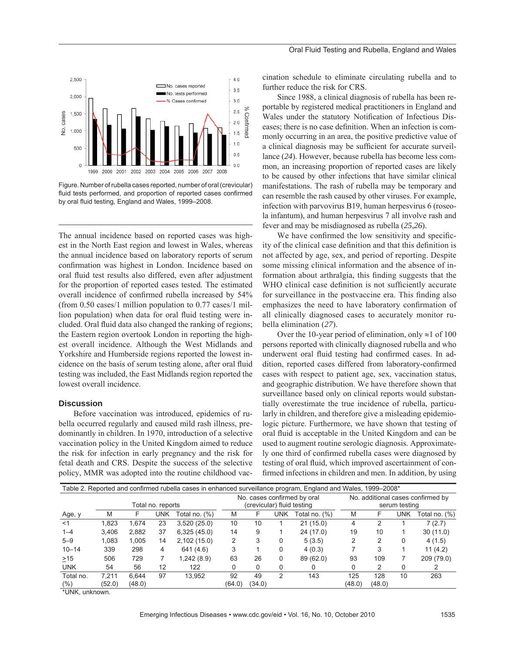

Figure. Number of rubella cases reported, number of oral (crevicular) fluid tests performed, and proportion of reported cases confirmed by oral fluid testing, England and Wales, 1999–2008.

The annual incidence based on reported cases was highest in the North East region and lowest in Wales, whereas the annual incidence based on laboratory reports of serum confirmation was highest in London. Incidence based on oral fluid test results also differed, even after adjustment for the proportion of reported cases tested. The estimated overall incidence of confirmed rubella increased by 54% (from 0.50 cases/1 million population to 0.77 cases/1 million population) when data for oral fluid testing were included. Oral fluid data also changed the ranking of regions; the Eastern region overtook London in reporting the highest overall incidence. Although the West Midlands and Yorkshire and Humberside regions reported the lowest incidence on the basis of serum testing alone, after oral fluid testing was included, the East Midlands region reported the lowest overall incidence.

## **Discussion**

Before vaccination was introduced, epidemics of rubella occurred regularly and caused mild rash illness, predominantly in children. In 1970, introduction of a selective vaccination policy in the United Kingdom aimed to reduce the risk for infection in early pregnancy and the risk for fetal death and CRS. Despite the success of the selective policy, MMR was adopted into the routine childhood vaccination schedule to eliminate circulating rubella and to further reduce the risk for CRS.

Since 1988, a clinical diagnosis of rubella has been reportable by registered medical practitioners in England and Wales under the statutory Notification of Infectious Diseases; there is no case definition. When an infection is commonly occurring in an area, the positive predictive value of a clinical diagnosis may be sufficient for accurate surveillance (*24*). However, because rubella has become less common, an increasing proportion of reported cases are likely to be caused by other infections that have similar clinical manifestations. The rash of rubella may be temporary and can resemble the rash caused by other viruses. For example, infection with parvovirus B19, human herpesvirus 6 (roseola infantum), and human herpesvirus 7 all involve rash and fever and may be misdiagnosed as rubella (*25*,*26*).

We have confirmed the low sensitivity and specificity of the clinical case definition and that this definition is not affected by age, sex, and period of reporting. Despite some missing clinical information and the absence of information about arthralgia, this finding suggests that the WHO clinical case definition is not sufficiently accurate for surveillance in the postvaccine era. This finding also emphasizes the need to have laboratory confirmation of all clinically diagnosed cases to accurately monitor rubella elimination (*27*).

Over the 10-year period of elimination, only  $\approx$ 1 of 100 persons reported with clinically diagnosed rubella and who underwent oral fluid testing had confirmed cases. In addition, reported cases differed from laboratory-confirmed cases with respect to patient age, sex, vaccination status, and geographic distribution. We have therefore shown that surveillance based only on clinical reports would substantially overestimate the true incidence of rubella, particularly in children, and therefore give a misleading epidemiologic picture. Furthermore, we have shown that testing of oral fluid is acceptable in the United Kingdom and can be used to augment routine serologic diagnosis. Approximately one third of confirmed rubella cases were diagnosed by testing of oral fluid, which improved ascertainment of confirmed infections in children and men. In addition, by using

| Table 2. Reported and confirmed rubella cases in enhanced surveillance program, England and Wales, 1999–2008* |                   |        |     |               |        |                                                           |               |                  |        |                                                    |            |               |  |
|---------------------------------------------------------------------------------------------------------------|-------------------|--------|-----|---------------|--------|-----------------------------------------------------------|---------------|------------------|--------|----------------------------------------------------|------------|---------------|--|
|                                                                                                               | Total no. reports |        |     |               |        | No. cases confirmed by oral<br>(crevicular) fluid testing |               |                  |        | No. additional cases confirmed by<br>serum testing |            |               |  |
| Age, y                                                                                                        | M                 |        | UNK | [otal no. (%) | M      |                                                           | UNK           | Total no. $(\%)$ | M      | F                                                  | <b>UNK</b> | Total no. (%) |  |
| $<$ 1                                                                                                         | 1.823             | 1.674  | 23  | 3,520(25.0)   | 10     | 10                                                        |               | 21(15.0)         | 4      |                                                    |            | 7(2.7)        |  |
| $1 - 4$                                                                                                       | 3.406             | 2,882  | 37  | 6,325(45.0)   | 14     | 9                                                         |               | 24 (17.0)        | 19     | 10                                                 |            | 30(11.0)      |  |
| $5 - 9$                                                                                                       | 1.083             | 1.005  | 14  | 2,102(15.0)   |        |                                                           | 0             | 5(3.5)           |        | 2                                                  | 0          | 4(1.5)        |  |
| $10 - 14$                                                                                                     | 339               | 298    | 4   | 641 (4.6)     |        |                                                           | 0             | 4(0.3)           |        | 3                                                  |            | 11(4.2)       |  |
| >15                                                                                                           | 506               | 729    |     | 1,242(8.9)    | 63     | 26                                                        | 0             | 89 (62.0)        | 93     | 109                                                |            | 209 (79.0)    |  |
| <b>UNK</b>                                                                                                    | 54                | 56     | 12  | 122           | 0      | 0                                                         | 0             |                  | 0      | 2                                                  | $\Omega$   |               |  |
| Total no.                                                                                                     | 7.211             | 6.644  | 97  | 13.952        | 92     | 49                                                        | $\mathcal{P}$ | 143              | 125    | 128                                                | 10         | 263           |  |
| $(\% )$<br>1.1.1.1.1.7                                                                                        | (52.0)            | (48.0) |     |               | (64.0) | (34.0)                                                    |               |                  | (48.0) | (48.0)                                             |            |               |  |

\*UNK, unknown.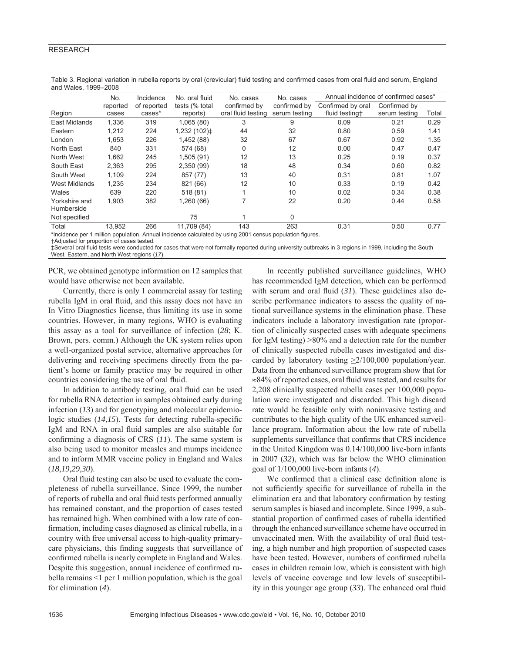## RESEARCH

|                             | No.               | Incidence             | No. oral fluid              | No. cases                          | No. cases                     | Annual incidence of confirmed cases* |                               |       |
|-----------------------------|-------------------|-----------------------|-----------------------------|------------------------------------|-------------------------------|--------------------------------------|-------------------------------|-------|
| Region                      | reported<br>cases | of reported<br>cases* | tests (% total)<br>reports) | confirmed by<br>oral fluid testing | confirmed by<br>serum testing | Confirmed by oral<br>fluid testing+  | Confirmed by<br>serum testing | Total |
| East Midlands               | 1,336             | 319                   | 1,065(80)                   | 3                                  | 9                             | 0.09                                 | 0.21                          | 0.29  |
| Eastern                     | 1,212             | 224                   | 1,232 (102)‡                | 44                                 | 32                            | 0.80                                 | 0.59                          | 1.41  |
| London                      | 1.653             | 226                   | 1,452 (88)                  | 32                                 | 67                            | 0.67                                 | 0.92                          | 1.35  |
| North East                  | 840               | 331                   | 574 (68)                    | 0                                  | 12                            | 0.00                                 | 0.47                          | 0.47  |
| North West                  | 1,662             | 245                   | 1,505(91)                   | 12                                 | 13                            | 0.25                                 | 0.19                          | 0.37  |
| South East                  | 2,363             | 295                   | 2,350 (99)                  | 18                                 | 48                            | 0.34                                 | 0.60                          | 0.82  |
| South West                  | 1.109             | 224                   | 857 (77)                    | 13                                 | 40                            | 0.31                                 | 0.81                          | 1.07  |
| <b>West Midlands</b>        | 1,235             | 234                   | 821 (66)                    | 12                                 | 10                            | 0.33                                 | 0.19                          | 0.42  |
| Wales                       | 639               | 220                   | 518(81)                     |                                    | 10                            | 0.02                                 | 0.34                          | 0.38  |
| Yorkshire and<br>Humberside | 1,903             | 382                   | 1,260(66)                   | 7                                  | 22                            | 0.20                                 | 0.44                          | 0.58  |
| Not specified               |                   |                       | 75                          |                                    | $\Omega$                      |                                      |                               |       |
| Total                       | 13,952            | 266                   | 11,709 (84)                 | 143                                | 263                           | 0.31                                 | 0.50                          | 0.77  |

Table 3. Regional variation in rubella reports by oral (crevicular) fluid testing and confirmed cases from oral fluid and serum, England and Wales, 1999–2008

\*Incidence per 1 million population. Annual incidence calculated by using 2001 census population figures.

†Adjusted for proportion of cases tested.

‡Several oral fluid tests were conducted for cases that were not formally reported during university outbreaks in 3 regions in 1999, including the South West, Eastern, and North West regions (*17*).

PCR, we obtained genotype information on 12 samples that would have otherwise not been available.

Currently, there is only 1 commercial assay for testing rubella IgM in oral fluid, and this assay does not have an In Vitro Diagnostics license, thus limiting its use in some countries. However, in many regions, WHO is evaluating this assay as a tool for surveillance of infection (*28*; K. Brown, pers. comm.) Although the UK system relies upon a well-organized postal service, alternative approaches for delivering and receiving specimens directly from the patient's home or family practice may be required in other countries considering the use of oral fluid.

In addition to antibody testing, oral fluid can be used for rubella RNA detection in samples obtained early during infection (*13*) and for genotyping and molecular epidemiologic studies  $(14,15)$ . Tests for detecting rubella-specific IgM and RNA in oral fluid samples are also suitable for confirming a diagnosis of CRS (11). The same system is also being used to monitor measles and mumps incidence and to inform MMR vaccine policy in England and Wales (*18*,*19*,*29*,*30*).

Oral fluid testing can also be used to evaluate the completeness of rubella surveillance. Since 1999, the number of reports of rubella and oral fluid tests performed annually has remained constant, and the proportion of cases tested has remained high. When combined with a low rate of confirmation, including cases diagnosed as clinical rubella, in a country with free universal access to high-quality primarycare physicians, this finding suggests that surveillance of confirmed rubella is nearly complete in England and Wales. Despite this suggestion, annual incidence of confirmed rubella remains <1 per 1 million population, which is the goal for elimination (*4*).

In recently published surveillance guidelines, WHO has recommended IgM detection, which can be performed with serum and oral fluid  $(31)$ . These guidelines also describe performance indicators to assess the quality of national surveillance systems in the elimination phase. These indicators include a laboratory investigation rate (proportion of clinically suspected cases with adequate specimens for IgM testing) >80% and a detection rate for the number of clinically suspected rubella cases investigated and discarded by laboratory testing  $\geq$ 2/100,000 population/year. Data from the enhanced surveillance program show that for ≈84% of reported cases, oral fluid was tested, and results for 2,208 clinically suspected rubella cases per 100,000 population were investigated and discarded. This high discard rate would be feasible only with noninvasive testing and contributes to the high quality of the UK enhanced surveillance program. Information about the low rate of rubella supplements surveillance that confirms that CRS incidence in the United Kingdom was 0.14/100,000 live-born infants in 2007 (*32*), which was far below the WHO elimination goal of 1/100,000 live-born infants (*4*).

We confirmed that a clinical case definition alone is not sufficiently specific for surveillance of rubella in the elimination era and that laboratory confirmation by testing serum samples is biased and incomplete. Since 1999, a substantial proportion of confirmed cases of rubella identified through the enhanced surveillance scheme have occurred in unvaccinated men. With the availability of oral fluid testing, a high number and high proportion of suspected cases have been tested. However, numbers of confirmed rubella cases in children remain low, which is consistent with high levels of vaccine coverage and low levels of susceptibility in this younger age group (33). The enhanced oral fluid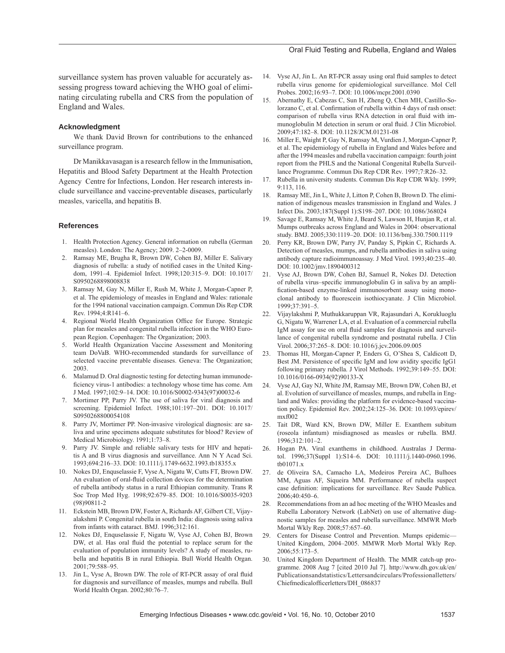#### Oral Fluid Testing and Rubella, England and Wales

surveillance system has proven valuable for accurately assessing progress toward achieving the WHO goal of eliminating circulating rubella and CRS from the population of England and Wales.

#### **Acknowledgment**

We thank David Brown for contributions to the enhanced surveillance program.

Dr Manikkavasagan is a research fellow in the Immunisation, Hepatitis and Blood Safety Department at the Health Protection Agency Centre for Infections, London. Her research interests include surveillance and vaccine-preventable diseases, particularly measles, varicella, and hepatitis B.

#### **References**

- 1. Health Protection Agency. General information on rubella (German measles). London: The Agency; 2009. 2–2-0009.
- 2. Ramsay ME, Brugha R, Brown DW, Cohen BJ, Miller E. Salivary diagnosis of rubella: a study of notified cases in the United Kingdom, 1991–4. Epidemiol Infect. 1998;120:315–9. DOI: 10.1017/ S0950268898008838
- 3. Ramsay M, Gay N, Miller E, Rush M, White J, Morgan-Capner P, et al. The epidemiology of measles in England and Wales: rationale for the 1994 national vaccination campaign. Commun Dis Rep CDR Rev. 1994;4:R141–6.
- 4. Regional World Health Organization Office for Europe. Strategic plan for measles and congenital rubella infection in the WHO European Region. Copenhagen: The Organization; 2003.
- 5. World Health Organization Vaccine Assessment and Monitoring team DoVaB. WHO-recommended standards for surveillance of selected vaccine preventable diseases. Geneva: The Organization; 2003.
- 6. Malamud D. Oral diagnostic testing for detecting human immunodeficiency virus-1 antibodies: a technology whose time has come. Am J Med. 1997;102:9–14. DOI: 10.1016/S0002-9343(97)00032-6
- 7. Mortimer PP, Parry JV. The use of saliva for viral diagnosis and screening. Epidemiol Infect. 1988;101:197–201. DOI: 10.1017/ S0950268800054108
- 8. Parry JV, Mortimer PP. Non-invasive virological diagnosis: are saliva and urine specimens adequate substitutes for blood? Review of Medical Microbiology. 1991;1:73–8.
- 9. Parry JV. Simple and reliable salivary tests for HIV and hepatitis A and B virus diagnosis and surveillance. Ann N Y Acad Sci. 1993;694:216–33. DOI: 10.1111/j.1749-6632.1993.tb18355.x
- 10. Nokes DJ, Enquselassie F, Vyse A, Nigatu W, Cutts FT, Brown DW. An evaluation of oral-fluid collection devices for the determination of rubella antibody status in a rural Ethiopian community. Trans R Soc Trop Med Hyg. 1998;92:679–85. DOI: 10.1016/S0035-9203 (98)90811-2
- 11. Eckstein MB, Brown DW, Foster A, Richards AF, Gilbert CE, Vijayalakshmi P. Congenital rubella in south India: diagnosis using saliva from infants with cataract. BMJ. 1996;312:161.
- 12. Nokes DJ, Enquselassie F, Nigatu W, Vyse AJ, Cohen BJ, Brown DW, et al. Has oral fluid the potential to replace serum for the evaluation of population immunity levels? A study of measles, rubella and hepatitis B in rural Ethiopia. Bull World Health Organ. 2001;79:588–95.
- 13. Jin L, Vyse A, Brown DW. The role of RT-PCR assay of oral fluid for diagnosis and surveillance of measles, mumps and rubella. Bull World Health Organ. 2002;80:76–7.
- 14. Vyse AJ, Jin L. An RT-PCR assay using oral fluid samples to detect rubella virus genome for epidemiological surveillance. Mol Cell Probes. 2002;16:93–7. DOI: 10.1006/mcpr.2001.0390
- 15. Abernathy E, Cabezas C, Sun H, Zheng Q, Chen MH, Castillo-Solorzano C, et al. Confirmation of rubella within 4 days of rash onset: comparison of rubella virus RNA detection in oral fluid with immunoglobulin M detection in serum or oral fluid. J Clin Microbiol. 2009;47:182–8. DOI: 10.1128/JCM.01231-08
- 16. Miller E, Waight P, Gay N, Ramsay M, Vurdien J, Morgan-Capner P, et al. The epidemiology of rubella in England and Wales before and after the 1994 measles and rubella vaccination campaign: fourth joint report from the PHLS and the National Congenital Rubella Surveillance Programme. Commun Dis Rep CDR Rev. 1997;7:R26–32.
- 17. Rubella in university students. Commun Dis Rep CDR Wkly. 1999; 9:113, 116.
- 18. Ramsay ME, Jin L, White J, Litton P, Cohen B, Brown D. The elimination of indigenous measles transmission in England and Wales. J Infect Dis. 2003;187(Suppl 1):S198–207. DOI: 10.1086/368024
- 19. Savage E, Ramsay M, White J, Beard S, Lawson H, Hunjan R, et al. Mumps outbreaks across England and Wales in 2004: observational study. BMJ. 2005;330:1119–20. DOI: 10.1136/bmj.330.7500.1119
- 20. Perry KR, Brown DW, Parry JV, Panday S, Pipkin C, Richards A. Detection of measles, mumps, and rubella antibodies in saliva using antibody capture radioimmunoassay. J Med Virol. 1993;40:235–40. DOI: 10.1002/jmv.1890400312
- 21. Vyse AJ, Brown DW, Cohen BJ, Samuel R, Nokes DJ. Detection of rubella virus–specific immunoglobulin G in saliva by an amplification-based enzyme-linked immunosorbent assay using monoclonal antibody to fluorescein isothiocyanate. J Clin Microbiol. 1999;37:391–5.
- 22. Vijaylakshmi P, Muthukkaruppan VR, Rajasundari A, Korukluoglu G, Nigatu W, Warrener LA, et al. Evaluation of a commercial rubella IgM assay for use on oral fluid samples for diagnosis and surveillance of congenital rubella syndrome and postnatal rubella. J Clin Virol. 2006;37:265–8. DOI: 10.1016/j.jcv.2006.09.005
- 23. Thomas HI, Morgan-Capner P, Enders G, O'Shea S, Caldicott D, Best JM. Persistence of specific IgM and low avidity specific IgG1 following primary rubella. J Virol Methods. 1992;39:149–55. DOI: 10.1016/0166-0934(92)90133-X
- 24. Vyse AJ, Gay NJ, White JM, Ramsay ME, Brown DW, Cohen BJ, et al. Evolution of surveillance of measles, mumps, and rubella in England and Wales: providing the platform for evidence-based vaccination policy. Epidemiol Rev. 2002;24:125–36. DOI: 10.1093/epirev/ mxf002
- 25. Tait DR, Ward KN, Brown DW, Miller E. Exanthem subitum (roseola infantum) misdiagnosed as measles or rubella. BMJ. 1996;312:101–2.
- 26. Hogan PA. Viral exanthems in childhood. Australas J Dermatol. 1996;37(Suppl 1):S14–6. DOI: 10.1111/j.1440-0960.1996. tb01071.x
- 27. de Oliveira SA, Camacho LA, Medeiros Pereira AC, Bulhoes MM, Aguas AF, Siqueira MM. Performance of rubella suspect case definition: implications for surveillance. Rev Saude Publica. 2006;40:450–6.
- 28. Recommendations from an ad hoc meeting of the WHO Measles and Rubella Laboratory Network (LabNet) on use of alternative diagnostic samples for measles and rubella surveillance. MMWR Morb Mortal Wkly Rep. 2008;57:657–60.
- 29. Centers for Disease Control and Prevention. Mumps epidemic— United Kingdom, 2004–2005. MMWR Morb Mortal Wkly Rep. 2006;55:173–5.
- United Kingdom Department of Health. The MMR catch-up programme. 2008 Aug 7 [cited 2010 Jul 7]. http://www.dh.gov.uk/en/ Publicationsandstatistics/Lettersandcirculars/Professionalletters/ Chiefmedicalofficerletters/DH\_086837